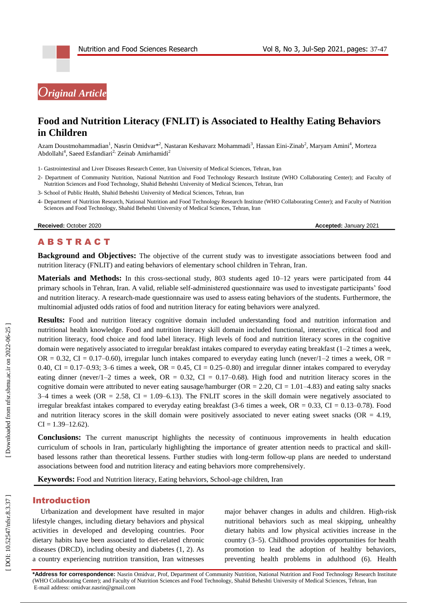# *Original Article*

# **Food and Nutrition Literacy (FNLIT) is Associated to Healthy Eating Behaviors in Children**

Azam Doustmohammadian<sup>1</sup>, Nasrin Omidvar\*<sup>2</sup>, Nastaran Keshavarz Mohammadi<sup>3</sup>, Hassan Eini-Zinab<sup>2</sup>, Maryam Amini<sup>4</sup>, Morteza Abdollahi<sup>4</sup>, Saeed Esfandiari<sup>2,</sup> Zeinab Amirhamidi<sup>2</sup>

1 - Gastrointestinal and Liver Diseases Research Center, Iran University of Medical Sciences, Tehran, Iran

- 2 Department of Community Nutrition, National Nutrition and Food Technology Research Institute (WHO Collaborating Center); and Faculty of Nutrition Sciences and Food Technology, Shahid Beheshti University of Medical Sciences, Tehran, Iran
- 3 School of Public Health, Shahid Beheshti University of Medical Sciences, Tehran, Iran
- 4 Department of Nutrition Research, National Nutrition and Food Technology Research Institute (WHO Collaborating Center); and Faculty of Nutrition Sciences and Food Technology, Shahid Beheshti University of Medical Sciences, Tehran, Iran

**Received:** October 2020 **Accepted: January 2021** 

# **ABSTRACT**

**Background and Objectives:** The objective of the current study was to investigate associations between food and nutrition literacy (FNLIT) and eating behaviors of elementary school children in Tehran, Iran .

Materials and Methods: In this cross-sectional study, 803 students aged 10-12 years were participated from 44 primary schools in Tehran, Iran. A valid, reliable self-administered questionnaire was used to investigate participants' food and nutrition literacy. A research -made questionnaire was used to assess eating behaviors of the students. Furthermore, the multinomial adjusted odds ratios of food and nutrition literacy for eating behaviors were analyzed.

**Results:** Food and nutrition literacy cognitive domain included understanding food and nutrition information and nutritional health knowledge. Food and nutrition literacy skill domain included functional, interactive, critical food and nutrition literacy, food choice and food label literacy. High levels of food and nutrition literacy scores in the cognitive domain were negatively associated to irregular breakfast intakes compared to everyday eating breakfast (1 –2 times a week, OR  $= 0.32$ , CI  $= 0.17$ –0.60), irregular lunch intakes compared to everyday eating lunch (never/1–2 times a week, OR  $=$  $0.40$ , CI =  $0.17-0.93$ ; 3–6 times a week, OR =  $0.45$ , CI =  $0.25-0.80$ ) and irregular dinner intakes compared to everyday eating dinner (never/1–2 times a week,  $OR = 0.32$ ,  $CI = 0.17$ –0.68). High food and nutrition literacy scores in the cognitive domain were attributed to never eating sausage/hamburger ( $OR = 2.20$ ,  $CI = 1.01 - 4.83$ ) and eating salty snacks  $3-4$  times a week (OR = 2.58, CI = 1.09–6.13). The FNLIT scores in the skill domain were negatively associated to irregular breakfast intakes compared to everyday eating breakfast  $(3-6 \text{ times a week}, \text{OR} = 0.33, \text{CI} = 0.13-0.78)$ . Food and nutrition literacy scores in the skill domain were positively associated to never eating sweet snacks (OR  $=$  4.19,  $CI = 1.39 - 12.62$ ).

**Conclusions:** The current manuscript highlights the necessity of continuous improvements in health education curriculum of schools in Iran, particularly highlighting the importance of greater attention needs to practical and skill based lessons rather than theoretical lessens. Further studies with long -term follow -up plans are needed to understand associations between food and nutrition literacy and eating behaviors more comprehensively.

Keywords: Food and Nutrition literacy, Eating behaviors, School-age children, Iran

#### Introduction

Urbanization and development have resulted in major lifestyle changes, including dietary behaviors and physical activities in developed and developing countries. Poor dietary habits have been associated to diet -related chronic diseases (DRCD), including obesity and diabetes ( 1, 2 ). As a country experiencing nutrition transition, Iran witnesses

major behaver changes in adults and children. High -risk nutritional behaviors such as meal skipping, unhealthy dietary habits and low physical activities increase in the country ( 3 – 5 ). Childhood provides opportunities for health promotion to lead the adoption of healthy behaviors, preventing health problems in adulthood (6). Health

**\*Address for correspondence:** Nasrin Omidvar, Prof, Department of Community Nutrition, National Nutrition and Food Technology Research Institute (WHO Collaborating Center); and Faculty of Nutrition Sciences and Food Technology, Shahid Beheshti University of Medical Sciences, Tehran, Iran E-mail address[: omidvar.nasrin@gmail.com](mailto:omidvar.nasrin@gmail.com)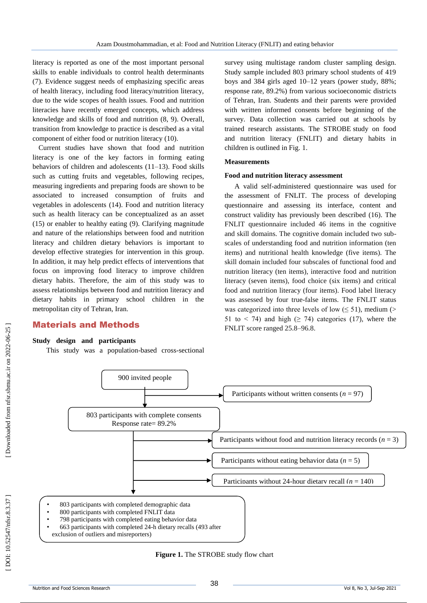literacy is reported as one of the most important personal skills to enable individuals to control health determinants (7). Evidence suggest needs of emphasizing specific areas of health literacy, including food literacy/nutrition literacy, due to the wide scopes of health issues. Food and nutrition literacies have recently emerged concepts, which address knowledge and skills of food and nutrition ( 8, 9 ). Overall, transition from knowledge to practice is described as a vital component of either food or nutrition literacy (10 ) .

Current studies have shown that food and nutrition literacy is one of the key factors in forming eating behaviors of children and adolescents (11 –13 ) . Food skills such as cutting fruits and vegetables, following recipes, measuring ingredients and preparing foods are shown to be associated to increased consumption of fruits and vegetables in adolescents (14 ). Food and nutrition literacy such as health literacy can be conceptualized as an asset (15) or enabler to healthy eating (9). Clarifying magnitude and nature of the relationships between food and nutrition literacy and children dietary behaviors is important to develop effective strategies for intervention in this group. In addition, it may help predict effects of interventions that focus on improving food literacy to improve children dietary habits. Therefore, the aim of this study was to assess relationships between food and nutrition literacy and dietary habits in primary school children in the metropolitan city of Tehran, Iran.

#### Material s and Methods

**Study design and participants**<br>This study was a population-based cross-sectional

survey using multistage random cluster sampling design. Study sample included 803 primary school students of 419 boys and 384 girls aged 10 –12 years (power study, 88%; response rate, 89.2%) from various socioeconomic districts of Tehran, Iran. Students and their parents were provided with written informed consents before beginning of the survey. Data collection was carried out at schools by trained research assistants. The STROBE study on food and nutrition literacy (FNLIT) and dietary habits in children is outlined in Fig. 1.

#### **Measurements**

#### **Food and nutrition literacy assessment**

A valid self-administered questionnaire was used for the assessment of FNLIT. The process of developing questionnaire and assessing its interface, content and construct validity has previously been described (16 ). The FNLIT questionnaire included 46 items in the cognitive and skill domains. The cognitive domain included two sub scales of understanding food and nutrition information (ten items) and nutritional health knowledge (five items). The skill domain included four subscales of functional food and nutrition literacy (ten items), interactive food and nutrition literacy (seven items), food choice (six items) and critical food and nutrition literacy (four items). Food label literacy was assessed by four true -false items. The FNLIT status was categorized into three levels of low  $(\leq 51)$ , medium (> 51 to < 74) and high  $(≥ 74)$  categories (17), where the FNLIT score ranged 25.8 –96.8.



**Figure 1.** The STROBE study flow chart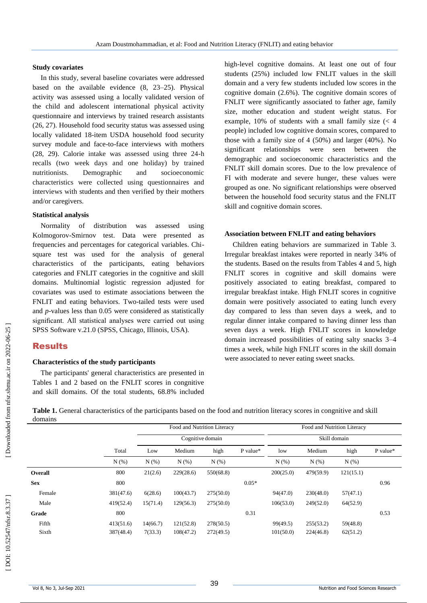#### **Study covariates**

In this study, several baseline covariates were addressed based on the available evidence ( 8, 23 –25 ). Physical activity was assessed using a locally validated version of the child and adolescent international physical activity questionnaire and interviews by trained research assistants (26, 27). Household food security status was assessed using locally validated 18-item USDA household food security survey module and face -to -face interviews with mothers (28, 29 ) . Calorie intake was assessed using three 24 -h recalls (two week days and one holiday) by trained nutritionists. Demographic and socioeconomic characteristics were collected using questionnaires and interviews with students and then verified by their mothers and/or caregivers.

#### **Statistical analysis**

Normality of distribution was assessed using Kolmogorov -Smirnov test. Data were presented as frequencies and percentages for categorical variables. Chi square test was used for the analysis of general characteristics of the participants, eating behaviors categories and FNLIT categories in the cognitive and skill domains. Multinomial logistic regression adjusted for covariates was used to estimate associations between the FNLIT and eating behaviors. Two -tailed tests were used and *p* -values less than 0.05 were considered as statistically significant. All statistical analyses were carried out using SPSS Software v.21.0 (SPSS, Chicago, Illinois, USA).

## Results

#### **Characteristics of the study participants**

The participants' general characteristics are presented in Tables 1 and 2 based on the FNLIT scores in congnitive and skill domains. Of the total students, 68.8% included

high -level cognitive domains. At least one out of four students (25%) included low FNLIT values in the skill domain and a very few students included low scores in the cognitive domain (2.6%). The cognitive domain scores of FNLIT were significantly associated to father age, family size, mother education and student weight status. For example, 10% of students with a small family size (< 4 people) included low cognitive domain scores, compared to those with a family size of 4 (50%) and larger (40%). No significant relationships were seen between the demographic and socioeconomic characteristics and the FNLIT skill domain scores . Due to the low prevalence of FI with moderate and severe hunger, these values were grouped as one. No significant relationships were observed between the household food security status and the FNLIT skill and cognitive domain scores.

#### **Association between FNLIT and eating behaviors**

Children eating behaviors are summarized in Table 3. Irregular breakfast intakes were reported in nearly 34% of the students. Based on the results from Tables 4 and 5, high FNLIT scores in cognitive and skill domains were positively associated to eating breakfast, compared to irregular breakfast intake. High FNLIT scores in cognitive domain were positively associated to eating lunch every day compared to less than seven days a week, and to regular dinner intake compared to having dinner less than seven days a week. High FNLIT scores in knowledge domain increased possibilities of eating salty snacks 3 –4 times a week, while high FNLIT scores in the skill domain were associated to never eating sweet snacks.

Food and Nutrition Literacy Food and Nutrition Literacy Cognitive domain Skill domain Total Low Medium high P value\* low Medium high P value\*  $N (\%)$   $N (\%)$   $N (\%)$   $N (\%)$   $N (\%)$   $N (\%)$   $N (\%)$   $N (\%)$ **Overall** 800 21(2.6) 229(28.6) 550(68.8) 200(25.0) 479(59.9) 121(15.1) **Sex** 800 800 0.05\* 0.96 Female 381(47.6) 6(28.6) 100(43.7) 275(50.0) 94(47.0) 230(48.0) 57(47.1) Male 419(52.4) 15(71.4) 129(56.3) 275(50.0) 106(53.0) 249(52.0) 64(52.9) **Grade** 800 800 0.31 0.53 Fifth 413(51.6) 14(66.7) 121(52.8) 278(50.5) 99(49.5) 255(53.2) 59(48.8)

Table 1. General characteristics of the participants based on the food and nutrition literacy scores in congnitive and skill domains

Sixth 387(48.4) 7(33.3) 108(47.2) 272(49.5) 101(50.0) 224(46.8) 62(51.2)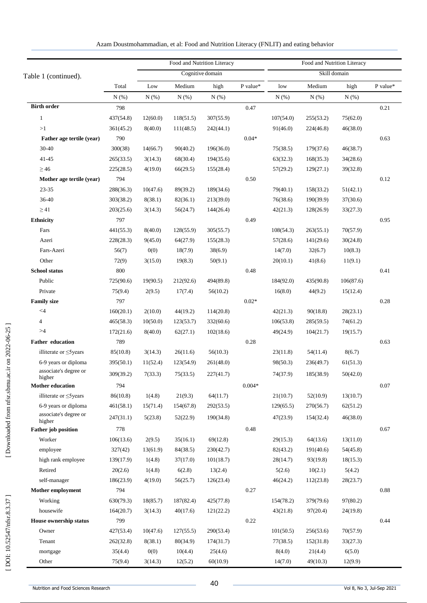|                                 |           |          |           | Food and Nutrition Literacy |          |              | Food and Nutrition Literacy |           |          |  |  |
|---------------------------------|-----------|----------|-----------|-----------------------------|----------|--------------|-----------------------------|-----------|----------|--|--|
| Table 1 (continued).            |           |          |           | Cognitive domain            |          | Skill domain |                             |           |          |  |  |
|                                 | Total     | Low      | Medium    | high                        | P value* | low          | Medium                      | high      | P value* |  |  |
|                                 | N(%)      | N(% )    | N(%)      | N(% )                       |          | N(% )        | N(%)                        | N(% )     |          |  |  |
| <b>Birth order</b>              | 798       |          |           |                             | 0.47     |              |                             |           | 0.21     |  |  |
| $\mathbf{1}$                    | 437(54.8) | 12(60.0) | 118(51.5) | 307(55.9)                   |          | 107(54.0)    | 255(53.2)                   | 75(62.0)  |          |  |  |
| >1                              | 361(45.2) | 8(40.0)  | 111(48.5) | 242(44.1)                   |          | 91(46.0)     | 224(46.8)                   | 46(38.0)  |          |  |  |
| Father age tertile (year)       | 790       |          |           |                             | $0.04*$  |              |                             |           | 0.63     |  |  |
| 30-40                           | 300(38)   | 14(66.7) | 90(40.2)  | 196(36.0)                   |          | 75(38.5)     | 179(37.6)                   | 46(38.7)  |          |  |  |
| 41-45                           | 265(33.5) | 3(14.3)  | 68(30.4)  | 194(35.6)                   |          | 63(32.3)     | 168(35.3)                   | 34(28.6)  |          |  |  |
| $\geq 46$                       | 225(28.5) | 4(19.0)  | 66(29.5)  | 155(28.4)                   |          | 57(29.2)     | 129(27.1)                   | 39(32.8)  |          |  |  |
| Mother age tertile (year)       | 794       |          |           |                             | 0.50     |              |                             |           | 0.12     |  |  |
| 23-35                           | 288(36.3) | 10(47.6) | 89(39.2)  | 189(34.6)                   |          | 79(40.1)     | 158(33.2)                   | 51(42.1)  |          |  |  |
| 36-40                           | 303(38.2) | 8(38.1)  | 82(36.1)  | 213(39.0)                   |          | 76(38.6)     | 190(39.9)                   | 37(30.6)  |          |  |  |
| $\geq$ 41                       | 203(25.6) | 3(14.3)  | 56(24.7)  | 144(26.4)                   |          | 42(21.3)     | 128(26.9)                   | 33(27.3)  |          |  |  |
| <b>Ethnicity</b>                | 797       |          |           |                             | 0.49     |              |                             |           | 0.95     |  |  |
| Fars                            | 441(55.3) | 8(40.0)  | 128(55.9) | 305(55.7)                   |          | 108(54.3)    | 263(55.1)                   | 70(57.9)  |          |  |  |
| Azeri                           | 228(28.3) | 9(45.0)  | 64(27.9)  | 155(28.3)                   |          | 57(28.6)     | 141(29.6)                   | 30(24.8)  |          |  |  |
| Fars-Azeri                      | 56(7)     | 0(0)     | 18(7.9)   | 38(6.9)                     |          | 14(7.0)      | 32(6.7)                     | 10(8.3)   |          |  |  |
| Other                           | 72(9)     | 3(15.0)  | 19(8.3)   | 50(9.1)                     |          | 20(10.1)     | 41(8.6)                     | 11(9.1)   |          |  |  |
| <b>School status</b>            | 800       |          |           |                             | 0.48     |              |                             |           | 0.41     |  |  |
| Public                          | 725(90.6) | 19(90.5) | 212(92.6) | 494(89.8)                   |          | 184(92.0)    | 435(90.8)                   | 106(87.6) |          |  |  |
| Private                         | 75(9.4)   | 2(9.5)   | 17(7.4)   | 56(10.2)                    |          | 16(8.0)      | 44(9.2)                     | 15(12.4)  |          |  |  |
| <b>Family size</b>              | 797       |          |           |                             | $0.02*$  |              |                             |           | 0.28     |  |  |
| $<$ 4                           | 160(20.1) | 2(10.0)  | 44(19.2)  | 114(20.8)                   |          | 42(21.3)     | 90(18.8)                    | 28(23.1)  |          |  |  |
| $\overline{4}$                  | 465(58.3) | 10(50.0) | 123(53.7) | 332(60.6)                   |          | 106(53.8)    | 285(59.5)                   | 74(61.2)  |          |  |  |
| >4                              | 172(21.6) | 8(40.0)  | 62(27.1)  | 102(18.6)                   |          | 49(24.9)     | 104(21.7)                   | 19(15.7)  |          |  |  |
| <b>Father education</b>         | 789       |          |           |                             | 0.28     |              |                             |           | 0.63     |  |  |
| illiterate or $\leq$ 5 years    | 85(10.8)  | 3(14.3)  | 26(11.6)  | 56(10.3)                    |          | 23(11.8)     | 54(11.4)                    | 8(6.7)    |          |  |  |
| 6-9 years or diploma            | 395(50.1) | 11(52.4) | 123(54.9) | 261(48.0)                   |          | 98(50.3)     | 236(49.7)                   | 61(51.3)  |          |  |  |
| associate's degree or<br>higher | 309(39.2) | 7(33.3)  | 75(33.5)  | 227(41.7)                   |          | 74(37.9)     | 185(38.9)                   | 50(42.0)  |          |  |  |
| <b>Mother education</b>         | 794       |          |           |                             | $0.004*$ |              |                             |           | $0.07\,$ |  |  |
| illiterate or $\leq$ 5 years    | 86(10.8)  | 1(4.8)   | 21(9.3)   | 64(11.7)                    |          | 21(10.7)     | 52(10.9)                    | 13(10.7)  |          |  |  |
| 6-9 years or diploma            | 461(58.1) | 15(71.4) | 154(67.8) | 292(53.5)                   |          | 129(65.5)    | 270(56.7)                   | 62(51.2)  |          |  |  |
| associate's degree or<br>higher | 247(31.1) | 5(23.8)  | 52(22.9)  | 190(34.8)                   |          | 47(23.9)     | 154(32.4)                   | 46(38.0)  |          |  |  |
| <b>Father</b> job position      | 778       |          |           |                             | 0.48     |              |                             |           | 0.67     |  |  |
| Worker                          | 106(13.6) | 2(9.5)   | 35(16.1)  | 69(12.8)                    |          | 29(15.3)     | 64(13.6)                    | 13(11.0)  |          |  |  |
| employee                        | 327(42)   | 13(61.9) | 84(38.5)  | 230(42.7)                   |          | 82(43.2)     | 191(40.6)                   | 54(45.8)  |          |  |  |
| high rank employee              | 139(17.9) | 1(4.8)   | 37(17.0)  | 101(18.7)                   |          | 28(14.7)     | 93(19.8)                    | 18(15.3)  |          |  |  |
| Retired                         | 20(2.6)   | 1(4.8)   | 6(2.8)    | 13(2.4)                     |          | 5(2.6)       | 10(2.1)                     | 5(4.2)    |          |  |  |
| self-manager                    | 186(23.9) | 4(19.0)  | 56(25.7)  | 126(23.4)                   |          | 46(24.2)     | 112(23.8)                   | 28(23.7)  |          |  |  |
| <b>Mother employment</b>        | 794       |          |           |                             | 0.27     |              |                             |           | 0.88     |  |  |
| Working                         | 630(79.3) | 18(85.7) | 187(82.4) | 425(77.8)                   |          | 154(78.2)    | 379(79.6)                   | 97(80.2)  |          |  |  |
| housewife                       | 164(20.7) | 3(14.3)  | 40(17.6)  | 121(22.2)                   |          | 43(21.8)     | 97(20.4)                    | 24(19.8)  |          |  |  |
| <b>House ownership status</b>   | 799       |          |           |                             | 0.22     |              |                             |           | 0.44     |  |  |
| Owner                           | 427(53.4) | 10(47.6) | 127(55.5) | 290(53.4)                   |          | 101(50.5)    | 256(53.6)                   | 70(57.9)  |          |  |  |
| Tenant                          | 262(32.8) | 8(38.1)  | 80(34.9)  | 174(31.7)                   |          | 77(38.5)     | 152(31.8)                   | 33(27.3)  |          |  |  |
| mortgage                        | 35(4.4)   | 0(0)     | 10(4.4)   | 25(4.6)                     |          | 8(4.0)       | 21(4.4)                     | 6(5.0)    |          |  |  |
| Other                           | 75(9.4)   | 3(14.3)  | 12(5.2)   | 60(10.9)                    |          | 14(7.0)      | 49(10.3)                    | 12(9.9)   |          |  |  |

| Azam Doustmohammadian, et al: Food and Nutrition Literacy (FNLIT) and eating behavior |  |  |
|---------------------------------------------------------------------------------------|--|--|
|                                                                                       |  |  |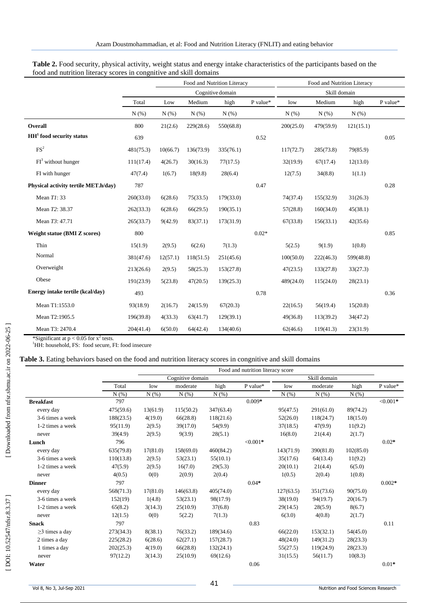|                                      |           |          |           | Food and Nutrition Literacy |          | Food and Nutrition Literacy |           |           |          |  |
|--------------------------------------|-----------|----------|-----------|-----------------------------|----------|-----------------------------|-----------|-----------|----------|--|
|                                      |           |          |           | Cognitive domain            |          | Skill domain                |           |           |          |  |
|                                      | Total     | Low      | Medium    | high                        | P value* | low                         | Medium    | high      | P value* |  |
|                                      | N(% )     | N(% )    | N(%)      | N(% )                       |          | N(% )                       | N(% )     | N(% )     |          |  |
| Overall                              | 800       | 21(2.6)  | 229(28.6) | 550(68.8)                   |          | 200(25.0)                   | 479(59.9) | 121(15.1) |          |  |
| $HH1$ food security status           | 639       |          |           |                             | 0.52     |                             |           |           | 0.05     |  |
| FS <sup>2</sup>                      | 481(75.3) | 10(66.7) | 136(73.9) | 335(76.1)                   |          | 117(72.7)                   | 285(73.8) | 79(85.9)  |          |  |
| $FI3$ without hunger                 | 111(17.4) | 4(26.7)  | 30(16.3)  | 77(17.5)                    |          | 32(19.9)                    | 67(17.4)  | 12(13.0)  |          |  |
| FI with hunger                       | 47(7.4)   | 1(6.7)   | 18(9.8)   | 28(6.4)                     |          | 12(7.5)                     | 34(8.8)   | 1(1.1)    |          |  |
| Physical activity tertile MET.h/day) | 787       |          |           |                             | 0.47     |                             |           |           | 0.28     |  |
| Mean T1: 33                          | 260(33.0) | 6(28.6)  | 75(33.5)  | 179(33.0)                   |          | 74(37.4)                    | 155(32.9) | 31(26.3)  |          |  |
| Mean T2: 38.37                       | 262(33.3) | 6(28.6)  | 66(29.5)  | 190(35.1)                   |          | 57(28.8)                    | 160(34.0) | 45(38.1)  |          |  |
| Mean T3: 47.71                       | 265(33.7) | 9(42.9)  | 83(37.1)  | 173(31.9)                   |          | 67(33.8)                    | 156(33.1) | 42(35.6)  |          |  |
| <b>Weight statue (BMI Z scores)</b>  | 800       |          |           |                             | $0.02*$  |                             |           |           | 0.85     |  |
| Thin                                 | 15(1.9)   | 2(9.5)   | 6(2.6)    | 7(1.3)                      |          | 5(2.5)                      | 9(1.9)    | 1(0.8)    |          |  |
| Normal                               | 381(47.6) | 12(57.1) | 118(51.5) | 251(45.6)                   |          | 100(50.0)                   | 222(46.3) | 599(48.8) |          |  |
| Overweight                           | 213(26.6) | 2(9.5)   | 58(25.3)  | 153(27.8)                   |          | 47(23.5)                    | 133(27.8) | 33(27.3)  |          |  |
| Obese                                | 191(23.9) | 5(23.8)  | 47(20.5)  | 139(25.3)                   |          | 489(24.0)                   | 115(24.0) | 28(23.1)  |          |  |
| Energy intake tertile (kcal/day)     | 493       |          |           |                             | 0.78     |                             |           |           | 0.36     |  |
| Mean T1:1553.0                       | 93(18.9)  | 2(16.7)  | 24(15.9)  | 67(20.3)                    |          | 22(16.5)                    | 56(19.4)  | 15(20.8)  |          |  |
| Mean T2:1905.5                       | 196(39.8) | 4(33.3)  | 63(41.7)  | 129(39.1)                   |          | 49(36.8)                    | 113(39.2) | 34(47.2)  |          |  |
| Mean T3: 2470.4                      | 204(41.4) | 6(50.0)  | 64(42.4)  | 134(40.6)                   |          | 62(46.6)                    | 119(41.3) | 23(31.9)  |          |  |

| Table 2. Food security, physical activity, weight status and energy intake characteristics of the participants based on the |  |
|-----------------------------------------------------------------------------------------------------------------------------|--|
| food and nutrition literacy scores in congnitive and skill domains                                                          |  |

\*Significant at  $p < 0.05$  for  $x^2$  tests.

<sup>1</sup>HH: household, FS: food secure, FI: food insecure

#### Table 3. Eating behaviors based on the food and nutrition literacy scores in congnitive and skill domains

|                      | Food and nutrition literacy score |          |                  |           |            |           |           |           |             |  |
|----------------------|-----------------------------------|----------|------------------|-----------|------------|-----------|-----------|-----------|-------------|--|
|                      |                                   |          | Cognitive domain |           |            |           |           |           |             |  |
|                      | Total                             | low      | moderate         | high      | P value*   | low       | moderate  | high      | P value*    |  |
|                      | N(% )                             | N(% )    | N(% )            | N(% )     |            | N(% )     | N(% )     | N(% )     |             |  |
| <b>Breakfast</b>     | 797                               |          |                  |           | $0.009*$   |           |           |           | ${<}0.001*$ |  |
| every day            | 475(59.6)                         | 13(61.9) | 115(50.2)        | 347(63.4) |            | 95(47.5)  | 291(61.0) | 89(74.2)  |             |  |
| 3-6 times a week     | 188(23.5)                         | 4(19.0)  | 66(28.8)         | 118(21.6) |            | 52(26.0)  | 118(24.7) | 18(15.0)  |             |  |
| 1-2 times a week     | 95(11.9)                          | 2(9.5)   | 39(17.0)         | 54(9.9)   |            | 37(18.5)  | 47(9.9)   | 11(9.2)   |             |  |
| never                | 39(4.9)                           | 2(9.5)   | 9(3.9)           | 28(5.1)   |            | 16(8.0)   | 21(4.4)   | 2(1.7)    |             |  |
| Lunch                | 796                               |          |                  |           | $< 0.001*$ |           |           |           | $0.02*$     |  |
| every day            | 635(79.8)                         | 17(81.0) | 158(69.0)        | 460(84.2) |            | 143(71.9) | 390(81.8) | 102(85.0) |             |  |
| 3-6 times a week     | 110(13.8)                         | 2(9.5)   | 53(23.1)         | 55(10.1)  |            | 35(17.6)  | 64(13.4)  | 11(9.2)   |             |  |
| 1-2 times a week     | 47(5.9)                           | 2(9.5)   | 16(7.0)          | 29(5.3)   |            | 20(10.1)  | 21(4.4)   | 6(5.0)    |             |  |
| never                | 4(0.5)                            | 0(0)     | 2(0.9)           | 2(0.4)    |            | 1(0.5)    | 2(0.4)    | 1(0.8)    |             |  |
| <b>Dinner</b>        | 797                               |          |                  |           | $0.04*$    |           |           |           | $0.002*$    |  |
| every day            | 568(71.3)                         | 17(81.0) | 146(63.8)        | 405(74.0) |            | 127(63.5) | 351(73.6) | 90(75.0)  |             |  |
| 3-6 times a week     | 152(19)                           | 1(4.8)   | 53(23.1)         | 98(17.9)  |            | 38(19.0)  | 94(19.7)  | 20(16.7)  |             |  |
| 1-2 times a week     | 65(8.2)                           | 3(14.3)  | 25(10.9)         | 37(6.8)   |            | 29(14.5)  | 28(5.9)   | 8(6.7)    |             |  |
| never                | 12(1.5)                           | 0(0)     | 5(2.2)           | 7(1.3)    |            | 6(3.0)    | 4(0.8)    | 2(1.7)    |             |  |
| <b>Snack</b>         | 797                               |          |                  |           | 0.83       |           |           |           | 0.11        |  |
| $\geq$ 3 times a day | 273(34.3)                         | 8(38.1)  | 76(33.2)         | 189(34.6) |            | 66(22.0)  | 153(32.1) | 54(45.0)  |             |  |
| 2 times a day        | 225(28.2)                         | 6(28.6)  | 62(27.1)         | 157(28.7) |            | 48(24.0)  | 149(31.2) | 28(23.3)  |             |  |
| 1 times a day        | 202(25.3)                         | 4(19.0)  | 66(28.8)         | 132(24.1) |            | 55(27.5)  | 119(24.9) | 28(23.3)  |             |  |
| never                | 97(12.2)                          | 3(14.3)  | 25(10.9)         | 69(12.6)  |            | 31(15.5)  | 56(11.7)  | 10(8.3)   |             |  |
| Water                |                                   |          |                  |           | 0.06       |           |           |           | $0.01*$     |  |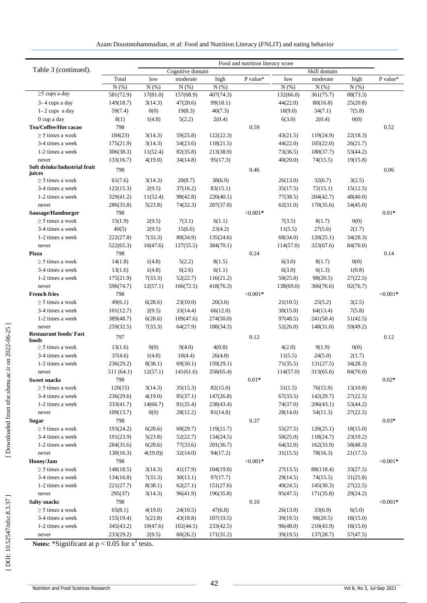|                                               | Food and nutrition literacy score |          |                      |                        |                  |           |                        |                      |                  |  |  |
|-----------------------------------------------|-----------------------------------|----------|----------------------|------------------------|------------------|-----------|------------------------|----------------------|------------------|--|--|
| Table 3 (continued).                          |                                   |          | Cognitive domain     |                        |                  |           | Skill domain           |                      |                  |  |  |
|                                               | Total                             | low      | moderate             | high                   | ${\bf P}$ value* | low       | moderate               | high                 | ${\bf P}$ value* |  |  |
|                                               | N(% )                             | N(% )    | $N(\%)$              | N(% )                  |                  | N(% )     | $N(\%)$                | N(% )                |                  |  |  |
| $\geq$ 5 cups a day                           | 581(72.9)                         | 17(81.0) | 157(68.9)            | 407(74.3)              |                  | 132(66.0) | 361(75.7)              | 88(73.3)             |                  |  |  |
| 3-4 cups a day                                | 149(18.7)                         | 3(14.3)  | 47(20.6)             | 99(18.1)               |                  | 44(22.0)  | 80(16.8)               | 25(20.8)             |                  |  |  |
| $1 - 2$ cups a day                            | 59(7.4)                           | 0(0)     | 19(8.3)              | 40(7.3)                |                  | 18(9.0)   | 34(7.1)                | 7(5.8)               |                  |  |  |
| 0 cup a day                                   | 8(1)                              | 1(4.8)   | 5(2.2)               | 2(0.4)                 |                  | 6(3.0)    | 2(0.4)                 | 0(0)                 |                  |  |  |
| Tea/Coffee/Hot cacao                          | 798                               |          |                      |                        | 0.59             |           |                        |                      | 0.52             |  |  |
| $\geq$ 5 times a week                         | 184(23)                           | 3(14.3)  | 59(25.8)             | 122(22.3)              |                  | 43(21.5)  | 119(24.9)              | 22(18.3)             |                  |  |  |
| 3-4 times a week                              | 175(21.9)                         | 3(14.3)  | 54(23.6)             | 118(21.5)              |                  | 44(22.0)  | 105(22.0)              | 26(21.7)             |                  |  |  |
| 1-2 times a week                              | 306(38.3)                         | 11(52.4) | 82(35.8)             | 213(38.9)              |                  | 73(36.5)  | 180(37.7)              | 53(44.2)             |                  |  |  |
| never                                         | 133(16.7)                         | 4(19.0)  | 34(14.8)             | 95(17.3)               |                  | 40(20.0)  | 74(15.5)               | 19(15.8)             |                  |  |  |
| Soft drinks/Industrial fruit<br>juices        | 798                               |          |                      |                        | 0.46             |           |                        |                      | 0.06             |  |  |
| $\geq$ 5 times a week                         | 61(7.6)                           | 3(14.3)  | 20(8.7)              | 38(6.9)                |                  | 26(13.0)  | 32(6.7)                | 3(2.5)               |                  |  |  |
| 3-4 times a week                              | 122(15.3)                         | 2(9.5)   | 37(16.2)             | 83(15.1)               |                  | 35(17.5)  | 72(15.1)               | 15(12.5)             |                  |  |  |
| 1-2 times a week                              | 329(41.2)                         | 11(52.4) | 98(42.8)             | 220(40.1)              |                  | 77(38.5)  | 204(42.7)              | 48(40.0)             |                  |  |  |
| never                                         | 286(35.8)                         | 5(23.8)  | 74(32.3)             | 207(37.8)              |                  | 62(31.0)  | 170(35.6)              | 54(45.0)             |                  |  |  |
| Sausage/Hamburger                             | 798                               |          |                      |                        | $< 0.001*$       |           |                        |                      | $0.01*$          |  |  |
| $\geq$ 5 times a week                         | 15(1.9)                           | 2(9.5)   | 7(3.1)               | 6(1.1)                 |                  | 7(3.5)    | 8(1.7)                 | 0(0)                 |                  |  |  |
| 3-4 times a week                              | 40(5)                             | 2(9.5)   | 15(6.6)              | 23(4.2)                |                  | 11(5.5)   | 27(5.6)                | 2(1.7)               |                  |  |  |
| 1-2 times a week                              | 222(27.8)                         | 7(33.3)  | 80(34.9)             | 135(24.6)              |                  | 68(34.0)  | 120(25.1)              | 34(28.3)             |                  |  |  |
| never                                         | 522(65.3)                         | 10(47.6) | 127(55.5)            | 384(70.1)              |                  | 114(57.0) | 323(67.6)              | 84(70.0)             |                  |  |  |
| <b>Pizza</b>                                  | 798                               |          |                      |                        | 0.24             |           |                        |                      | 0.14             |  |  |
| $\geq$ 5 times a week                         | 14(1.8)                           | 1(4.8)   | 5(2.2)               | 8(1.5)                 |                  | 6(3.0)    | 8(1.7)                 | 0(0)                 |                  |  |  |
| 3-4 times a week                              | 13(1.6)                           | 1(4.8)   | 6(2.6)               | 6(1.1)                 |                  | 6(3.0)    | 6(1.3)                 | 1(0.8)               |                  |  |  |
| 1-2 times a week                              | 175(21.9)                         | 7(33.3)  | 52(22.7)             | 116(21.2)              |                  | 50(25.0)  | 98(20.5)               | 27(22.5)             |                  |  |  |
| never                                         | 596(74.7)                         | 12(57.1) | 166(72.5)            | 418(76.3)              |                  | 138(69.0) | 366(76.6)              | 92(76.7)             |                  |  |  |
| <b>French fries</b>                           | 798                               |          |                      |                        | $< 0.001*$       |           |                        |                      | ${<}0.001*$      |  |  |
| $\geq$ 5 times a week                         | 49(6.1)                           | 6(28.6)  | 23(10.0)             | 20(3.6)                |                  | 21(10.5)  | 25(5.2)                | 3(2.5)               |                  |  |  |
| 3-4 times a week                              | 101(12.7)                         | 2(9.5)   | 33(14.4)             | 66(12.0)               |                  | 30(15.0)  | 64(13.4)               | 7(5.8)               |                  |  |  |
| 1-2 times a week                              | 389(48.7)                         | 6(28.6)  | 109(47.6)            | 274(50.0)              |                  | 97(48.5)  | 241(50.4)              | 51(42.5)             |                  |  |  |
| never                                         | 259(32.5)                         | 7(33.3)  | 64(27.9)             | 188(34.3)              |                  | 52(26.0)  | 148(31.0)              | 59(49.2)             |                  |  |  |
| <b>Restaurant foods/Fast</b>                  | 797                               |          |                      |                        | 0.12             |           |                        |                      | 0.12             |  |  |
| foods<br>$\geq$ 5 times a week                | 13(1.6)                           | 0(0)     | 9(4.0)               | 4(0.8)                 |                  | 4(2.0)    | 9(1.9)                 | 0(0)                 |                  |  |  |
| 3-4 times a week                              | 37(4.6)                           | 1(4.8)   | 10(4.4)              | 26(4.8)                |                  | 11(5.5)   | 24(5.0)                | 2(1.7)               |                  |  |  |
| 1-2 times a week                              | 236(29.2)                         | 8(38.1)  | 69(30.1)             | 159(29.1)              |                  | 71(35.5)  | 131(27.5)              | 34(28.3)             |                  |  |  |
|                                               | 511(64.1)                         | 12(57.1) | 141(61.6)            | 358(65.4)              |                  | 114(57.0) | 313(65.6)              | 84(70.0)             |                  |  |  |
| never<br><b>Sweet snacks</b>                  | 798                               |          |                      |                        | $0.01*$          |           |                        |                      | $0.02*$          |  |  |
| $\geq$ 5 times a week                         | 120(15)                           | 3(14.3)  | 35(15.3)             | 82(15.0)               |                  | 31(1.5)   | 76(15.9)               | 13(10.8)             |                  |  |  |
| 3-4 times a week                              | 236(29.6)                         | 4(19.0)  |                      |                        |                  | 67(33.5)  |                        |                      |                  |  |  |
| 1-2 times a week                              | 333(41.7)                         | 14(66.7) | 85(37.1)<br>81(35.4) | 147(26.8)<br>238(43.4) |                  | 74(37.0)  | 142(29.7)<br>206(43.1) | 27(22.5)<br>53(44.2) |                  |  |  |
|                                               | 109(13.7)                         | 0(0)     | 28(12.2)             | 81(14.8)               |                  | 28(14.0)  | 54(11.3)               |                      |                  |  |  |
| never                                         | 798                               |          |                      |                        |                  |           |                        | 27(22.5)             | $0.03*$          |  |  |
| <b>Sugar</b><br>$\geq$ 5 times a week         | 193(24.2)                         |          |                      |                        | 0.37             |           |                        |                      |                  |  |  |
|                                               |                                   | 6(28.6)  | 68(29.7)             | 119(21.7)              |                  | 55(27.5)  | 120(25.1)              | 18(15.0)<br>23(19.2) |                  |  |  |
| 3-4 times a week                              | 191(23.9)                         | 5(23.8)  | 52(22.7)             | 134(24.5)              |                  | 50(25.0)  | 118(24.7)              |                      |                  |  |  |
| 1-2 times a week                              | 284(35.6)                         | 6(28.6)  | 77(33.6)             | 201(36.7)              |                  | 64(32.0)  | 162(33.9)              | 58(48.3)             |                  |  |  |
| never                                         | 130(16.3)                         | 4(19.0)  | 32(14.0)             | 94(17.2)               |                  | 31(15.5)  | 78(16.3)               | 21(17.5)             |                  |  |  |
| Honey/Jam                                     | 798                               |          |                      |                        | ${<}0.001*$      |           |                        |                      | ${<}0.001*$      |  |  |
| $\geq$ 5 times a week                         | 148(18.5)                         | 3(14.3)  | 41(17.9)             | 104(19.0)              |                  | 27(13.5)  | 88(118.4)              | 33(27.5)             |                  |  |  |
| 3-4 times a week                              | 134(16.8)                         | 7(33.3)  | 30(13.1)             | 97(17.7)               |                  | 29(14.5)  | 74(15.5)               | 31(25.8)             |                  |  |  |
| 1-2 times a week                              | 221(27.7)                         | 8(38.1)  | 62(27.1)             | 151(27.6)              |                  | 49(24.5)  | 145(30.3)              | 27(22.5)             |                  |  |  |
| never                                         | 295(37)                           | 3(14.3)  | 96(41.9)             | 196(35.8)              |                  | 95(47.5)  | 171(35.8)              | 29(24.2)             |                  |  |  |
| <b>Salty snacks</b>                           | 798                               |          |                      |                        | $0.10\,$         |           |                        |                      | $< 0.001*$       |  |  |
| $\geq$ 5 times a week                         | 65(8.1)                           | 4(19.0)  | 24(10.5)             | 47(6.8)                |                  | 26(13.0)  | 33(6.9)                | 6(5.0)               |                  |  |  |
| 3-4 times a week                              | 155(19.4)                         | 5(23.8)  | 43(18.8)             | 107(19.5)              |                  | 39(19.5)  | 98(20.5)               | 18(15.0)             |                  |  |  |
| 1-2 times a week                              | 345(43.2)                         | 10(47.6) | 102(44.5)            | 233(42.5)              |                  | 96(48.0)  | 210(43.9)              | 18(15.0)             |                  |  |  |
| never<br>$*$ $\alpha$ : $\ldots$ : $\alpha$ : | 233(29.2)                         | 2(9.5)   | 60(26.2)             | 171(31.2)              |                  | 39(19.5)  | 137(28.7)              | 57(47.5)             |                  |  |  |

**Notes:** \*Significant at  $p < 0.05$  for  $x^2$  tests.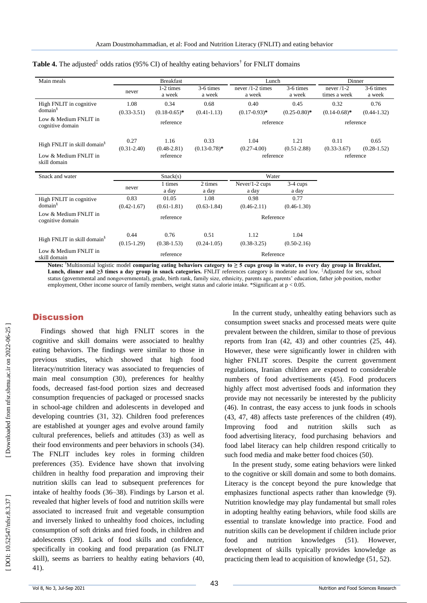| Main meals                                |                         | <b>Breakfast</b>                   |                           | Lunch                   |                         | Dinner                  |                         |  |  |
|-------------------------------------------|-------------------------|------------------------------------|---------------------------|-------------------------|-------------------------|-------------------------|-------------------------|--|--|
|                                           |                         | $1-2 \times$                       | 3-6 times                 |                         | 3-6 times               | never $/1-2$            | 3-6 times               |  |  |
|                                           | never                   | a week                             | a week                    | a week                  | a week                  | times a week            | a week                  |  |  |
| High FNLIT in cognitive                   | 1.08                    | 0.34                               | 0.68                      | 0.40                    | 0.45                    | 0.32                    | 0.76                    |  |  |
| domain <sup>§</sup>                       | $(0.33 - 3.51)$         | $(0.18 - 0.65)^*$                  | $(0.41 - 1.13)$           | $(0.17 - 0.93)^*$       | $(0.25-0.80)$ *         | $(0.14 - 0.68)$ *       | $(0.44 - 1.32)$         |  |  |
| Low & Medium FNLIT in<br>cognitive domain |                         | reference                          |                           | reference               |                         | reference               |                         |  |  |
| High FNLIT in skill domain <sup>§</sup>   | 0.27<br>$(0.31 - 2.40)$ | 1.16<br>$(0.48 - 2.81)$            | 0.33<br>$(0.13 - 0.78)^*$ | 1.04<br>$(0.27-4.00)$   | 1.21<br>$(0.51 - 2.88)$ | 0.11<br>$(0.33 - 3.67)$ | 0.65<br>$(0.28 - 1.52)$ |  |  |
| Low & Medium FNLIT in<br>skill domain     |                         | reference                          |                           | reference               |                         | reference               |                         |  |  |
| Snack and water                           |                         | Snack(s)                           |                           | Water                   |                         |                         |                         |  |  |
|                                           | never                   | 1 times<br>a day                   | 2 times<br>a day          | Never/1-2 cups<br>a day | $3-4$ cups<br>a day     |                         |                         |  |  |
| High FNLIT in cognitive                   | 0.83                    | 01.05                              |                           | 0.98                    | 0.77                    |                         |                         |  |  |
| domain <sup>§</sup>                       | $(0.42 - 1.67)$         | $(0.61 - 1.81)$                    | $(0.63 - 1.84)$           | $(0.46 - 2.11)$         | $(0.46 - 1.30)$         |                         |                         |  |  |
| Low & Medium FNLIT in<br>cognitive domain |                         | reference                          |                           | Reference               |                         |                         |                         |  |  |
|                                           | 0.44                    | 0.76                               | 0.51                      | 1.12                    | 1.04                    |                         |                         |  |  |
| High FNLIT in skill domain <sup>§</sup>   | $(0.15-1.29)$           | $(0.38 - 1.53)$<br>$(0.24 - 1.05)$ |                           | $(0.38 - 3.25)$         | $(0.50-2.16)$           |                         |                         |  |  |
| Low & Medium FNLIT in<br>skill domain     |                         | reference                          |                           | Reference               |                         |                         |                         |  |  |

#### Table 4. The adjusted<sup>‡</sup> odds ratios (95% CI) of healthy eating behaviors<sup>†</sup> for FNLIT domains

**Notes:** †Multinomial logistic model **comparing eating behaviors category to ≥ 5 cups group in water, to every day group in Breakfast, Lunch, dinner and ≥3 times a day group in snack categories.** FNLIT references category is moderate and low. ‡Adjusted for sex, school status (governmental and nongovernmental), grade, birth rank, family size, ethnicity, parents age, parents' education, father job position, mother employment, Other income source of family members, weight status and calorie intake. \*Significant at  $p < 0.05$ .

### **Discussion**

Findings showed that high FNLIT scores in the cognitive and skill domains were associated to healthy eating behaviors. The findings were similar to those in previous studies, which showed that high food literacy/nutrition literacy was associated to frequencies of main meal consumption (30 ), preferences for healthy foods, decreased fast -food portion sizes and decreased consumption frequencies of packaged or processed snacks in school -age children and adolescents in developed and developing countries (31, 32 ) . Children food preferences are established at younger ages and evolve around family cultural preferences, beliefs and attitudes (33 ) as well as their food environments and peer behaviors in schools (34 ). The FNLIT includes key roles in forming children preferences (35 ). Evidence have shown that involving children in healthy food preparation and improving their nutrition skills can lead to subsequent preferences for intake of healthy foods (36 –38 ). Findings by Larson et al. revealed that higher levels of food and nutrition skills were associated to increased fruit and vegetable consumption and inversely linked to unhealthy food choices, including consumption of soft drinks and fried foods, in children and adolescents (39 ). Lack of food skills and confidence, specifically in cooking and food preparation (as FNLIT skill), seems as barriers to healthy eating behaviors (40, 41 ) .

In the current study, unhealthy eating behaviors such as consumption sweet snacks and processed meats were quite prevalent between the children, similar to those of previous reports from Iran (42, 43 ) and other countries (25, 44 ). However, these were significantly lower in children with higher FNLIT scores. Despite the current government regulations, Iranian children are exposed to considerable numbers of food advertisements (45 ). Food producers highly affect most advertised foods and information they provide may not necessarily be interested by the publicity (46). In contrast, the easy access to junk foods in schools (43, 47, 48) affects taste preferences of the children (49). Improving food and nutrition skills such as food advertising literacy, food purchasing behaviors and food label literacy can help children respond critically to such food media and make better food choices (50 ).

In the present study, some eating behaviors were linked to the cognitive or skill domain and some to both domains. Literacy is the concept beyond the pure knowledge that emphasizes functional aspects rather than knowledge (9). Nutrition knowledge may play fundamental but small roles in adopting healthy eating behaviors, while food skills are essential to translate knowledge into practice. Food and nutrition skills can be development if children include prior food and nutrition knowledges  $(51)$ . ). However, development of skills typically provides knowledge as practicing them lead to acquisition of knowledge (51, 52).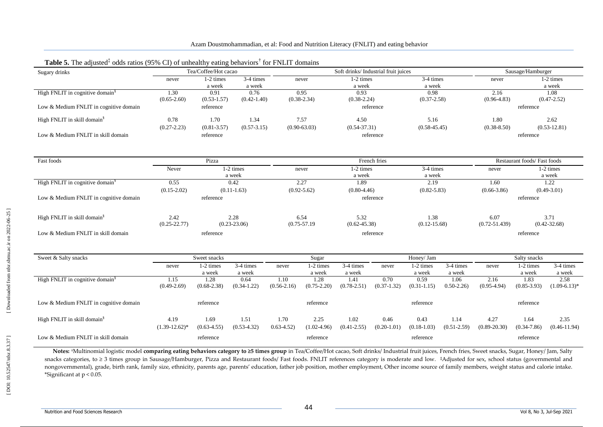| Sugary drinks                               | Tea/Coffee/Hot cacao            |                     | Soft drinks/Industrial fruit juices |                 |                                      |                     |                  |                     | Sausage/Hamburger                |                             |                     |                     |  |
|---------------------------------------------|---------------------------------|---------------------|-------------------------------------|-----------------|--------------------------------------|---------------------|------------------|---------------------|----------------------------------|-----------------------------|---------------------|---------------------|--|
|                                             | 1-2 times<br>3-4 times<br>never |                     |                                     | never           | 1-2 times                            | 3-4 times           |                  |                     | never                            |                             | 1-2 times           |                     |  |
|                                             |                                 | a week              | a week                              |                 |                                      | a week              |                  | a week              |                                  |                             |                     | a week              |  |
| High FNLIT in cognitive domain <sup>§</sup> | 1.30                            | 0.91                | 0.76                                |                 | 0.95                                 | 0.93                |                  | 0.98                |                                  | 2.16                        |                     | 1.08                |  |
|                                             | $(0.65 - 2.60)$                 | $(0.53 - 1.57)$     | $(0.42 - 1.40)$                     |                 | $(0.38 - 2.34)$                      | $(0.38 - 2.24)$     |                  | $(0.37 - 2.58)$     |                                  | $(0.96 - 4.83)$             |                     | $(0.47 - 2.52)$     |  |
| Low & Medium FNLIT in cognitive domain      |                                 | reference           |                                     |                 |                                      |                     | reference        |                     |                                  | reference                   |                     |                     |  |
| High FNLIT in skill domain <sup>§</sup>     | 0.78                            | 1.70<br>1.34        |                                     |                 | 7.57                                 | 4.50                |                  | 5.16                |                                  | 1.80                        |                     | 2.62                |  |
|                                             | $(0.27 - 2.23)$                 | $(0.81 - 3.57)$     | $(0.57 - 3.15)$                     |                 | $(0.90 - 63.03)$                     | $(0.54 - 37.31)$    |                  | $(0.58 - 45.45)$    |                                  | $(0.38 - 8.50)$             |                     | $(0.53 - 12.81)$    |  |
| Low & Medium FNLIT in skill domain          |                                 | reference           |                                     |                 |                                      |                     | reference        |                     |                                  |                             | reference           |                     |  |
|                                             |                                 |                     |                                     |                 |                                      |                     |                  |                     |                                  |                             |                     |                     |  |
| Fast foods                                  |                                 | Pizza               |                                     |                 |                                      |                     | French fries     |                     |                                  | Restaurant foods/Fast foods |                     |                     |  |
|                                             | Never                           | 1-2 times           |                                     | never           |                                      | 1-2 times           | 3-4 times        |                     | never                            |                             | 1-2 times           |                     |  |
|                                             | 0.55                            |                     | a week                              |                 |                                      | a week<br>1.89      |                  | a week<br>2.19      |                                  | 1.60                        |                     | a week              |  |
| High FNLIT in cognitive domain <sup>§</sup> | 0.42                            |                     | 2.27                                |                 |                                      |                     |                  | 1.22                |                                  |                             |                     |                     |  |
|                                             | $(0.15 - 2.02)$                 |                     | $(0.11-1.63)$                       |                 | $(0.92 - 5.62)$<br>$(0.80 - 4.46)$   |                     | $(0.82 - 5.83)$  |                     | $(0.66 - 3.86)$<br>$(0.49-3.01)$ |                             |                     |                     |  |
| Low & Medium FNLIT in cognitive domain      |                                 | reference           |                                     |                 | reference                            |                     |                  |                     |                                  |                             | reference           |                     |  |
| High FNLIT in skill domain <sup>§</sup>     | 2.42                            |                     | 2.28                                |                 | 5.32<br>6.54                         |                     | 1.38             |                     |                                  | 6.07                        |                     | 3.71                |  |
|                                             | $(0.25 - 22.77)$                |                     | $(0.23 - 23.06)$                    |                 | $(0.75 - 57.19)$<br>$(0.62 - 45.38)$ |                     | $(0.12 - 15.68)$ |                     | $(0.72 - 51.439)$                |                             | $(0.42 - 32.68)$    |                     |  |
| Low & Medium FNLIT in skill domain          |                                 | reference           |                                     |                 | reference                            |                     |                  |                     |                                  | reference                   |                     |                     |  |
|                                             |                                 |                     |                                     |                 |                                      |                     |                  |                     |                                  |                             |                     |                     |  |
| Sweet & Salty snacks                        |                                 | Sweet snacks        |                                     |                 | Sugar                                |                     |                  | Honey/ Jam          |                                  |                             | Salty snacks        |                     |  |
|                                             | never                           | 1-2 times<br>a week | 3-4 times<br>a week                 | never           | 1-2 times<br>a week                  | 3-4 times<br>a week | never            | 1-2 times<br>a week | 3-4 times<br>a week              | never                       | 1-2 times<br>a week | 3-4 times<br>a week |  |
| High FNLIT in cognitive domain <sup>§</sup> | 1.15                            | 1.28                | 0.64                                | 1.10            | 1.28                                 | 1.41                | 0.70             | 0.59                | 1.06                             | 2.16                        | 1.83                | 2.58                |  |
|                                             | $(0.49 - 2.69)$                 | $(0.68 - 2.38)$     | $(0.34 - 1.22)$                     | $(0.56 - 2.16)$ | $(0.75 - 2.20)$                      | $(0.78 - 2.51)$     | $(0.37 - 1.32)$  | $(0.31 - 1.15)$     | $0.50 - 2.26$                    | $(0.95-4.94)$               | $(0.85 - 3.93)$     | $(1.09-6.13)*$      |  |
| Low & Medium FNLIT in cognitive domain      |                                 | reference           |                                     |                 | reference                            |                     |                  | reference           |                                  |                             | reference           |                     |  |
| High FNLIT in skill domain <sup>§</sup>     | 4.19                            | 1.69                | 1.51                                | 1.70            | 2.25                                 | 1.02                | 0.46             | 0.43                | 1.14                             | 4.27                        | 1.64                | 2.35                |  |
|                                             | $(1.39-12.62)^*$                | $(0.63 - 4.55)$     | $(0.53-4.32)$                       | $0.63 - 4.52$   | $(1.02 - 4.96)$                      | $(0.41 - 2.55)$     | $(0.20-1.01)$    | $(0.18-1.03)$       | $(0.51 - 2.59)$                  | $(0.89 - 20.30)$            | $(0.34 - 7.86)$     | $(0.46 - 11.94)$    |  |
| Low & Medium FNLIT in skill domain          | reference                       |                     |                                     |                 | reference                            |                     |                  |                     | reference<br>reference           |                             |                     |                     |  |

#### Table 5. The adjusted<sup>‡</sup> odds ratios (95% CI) of unhealthy eating behaviors<sup>†</sup> for FNLIT domains

**Notes:** †Multinomial logistic model **comparing eating behaviors category to ≥5 times group** in Tea/Coffee/Hot cacao, Soft drinks/ Industrial fruit juices, French fries, Sweet snacks, Sugar, Honey/ Jam, Salty snacks categories, to ≥ 3 times group in Sausage/Hamburger, Pizza and Restaurant foods/ Fast foods. FNLIT references category is moderate and low. ‡Adjusted for sex, school status (governmental and nongovernmental), grade, birth rank, family size, ethnicity, parents age, parents' education, father job position, mother employment, Other income source of family members, weight status and calorie intake. \*Significant at p < 0.05.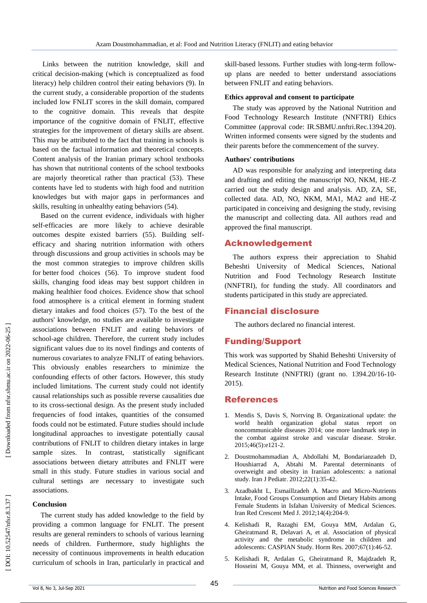Links between the nutrition knowledge, skill and critical decision -making (which is conceptualized as food literacy) help children control their eating behaviors ( 9 ). In the current study, a considerable proportion of the students included low FNLIT scores in the skill domain, compared to the cognitive domain. This reveals that despite importance of the cognitive domain of FNLIT, effective strategies for the improvement of dietary skills are absent. This may be attributed to the fact that training in schools is based on the factual information and theoretical concepts. Content analysis of the Iranian primary school textbooks has shown that nutritional contents of the school textbooks are majorly theoretical rather than practical (53 ). These contents have led to students with high food and nutrition knowledges but with major gaps in performances and skills, resulting in unhealthy eating behaviors (54 ).

Based on the current evidence, individuals with higher self-efficacies are more likely to achieve desirable outcomes despite existed barriers (55 ). Building selfefficacy and sharing nutrition information with others through discussions and group activities in schools may be the most common strategies to improve children skills for better food choices (56 ). To improve student food skills, changing food ideas may best support children in making healthier food choices. Evidence show that school food atmosphere is a critical element in forming student dietary intakes and food choices (57 ). To the best of the authors' knowledge, no studies are available to investigate associations between FNLIT and eating behaviors of school -age children. Therefore, the current study includes significant values due to its novel findings and contents of numerous covariates to analyze FNLIT of eating behaviors. This obviously enables researchers to minimize the confounding effects of other factors. However, this study included limitations. The current study could not identify causal relationships such as possible reverse causalities due to its cross -sectional design. As the present study included frequencies of food intakes, quantities of the consumed foods could not be estimated. Future studies should include longitudinal approaches to investigate potentially causal contributions of FNLIT to children dietary intakes in large sample sizes. In contrast, statistically significant associations between dietary attributes and FNLIT were small in this study. Future studies in various social and cultural settings are necessary to investigate such associations.

#### **Conclusion**

The current study has added knowledge to the field by providing a common language for FNLIT. The present results are general reminders to schools of various learning needs of children. Furthermore, study highlights the necessity of continuous improvements in health education curriculum of schools in Iran, particularly in practical and

skill -based lessons. Further studies with long -term follow up plans are needed to better understand associations between FNLIT and eating behaviors.

#### **Ethics approval and consent to participate**

The study was approved by the National Nutrition and Food Technology Research Institute (NNFTRI) Ethics Committee (approval code: IR.SBMU.nnftri.Rec.1394.20). Written informed consents were signed by the students and their parents before the commencement of the survey.

#### **Authors' contributions**

AD was responsible for analyzing and interpreting data and drafting and editing the manuscript NO, NKM, HE -Z carried out the study design and analysis. AD, ZA, SE, collected data. AD, NO, NKM, MA1, MA2 and HE -Z participated in conceiving and designing the study, revising the manuscript and collecting data. All authors read and approved the final manuscript .

#### Acknowledgement

The authors express their appreciation to Shahid Beheshti University of Medical Sciences, National Nutrition and Food Technology Research Institute (NNFTRI), for funding the study. All coordinators and students participated in this study are appreciated.

#### Financial disclosure

The authors declared no financial interest.

# Funding/Support

This work was supported by Shahid Beheshti University of Medical Sciences, National Nutrition and Food Technology Research Institute (NNFTRI) (grant no. 1394.20/16-10-2015).

#### References

- 1. Mendis S, Davis S, Norrving B. Organizational update: the world health organization global status report on noncommunicable diseases 2014; one more landmark step in the combat against stroke and vascular disease. Stroke. 2015;46(5):e121 -2.
- 2. Doustmohammadian A, Abdollahi M, Bondarianzadeh D, Houshiarrad A, Abtahi M. Parental determinants of overweight and obesity in Iranian adolescents: a national study. Iran J Pediatr. 2012;22(1):35 -42.
- 3. Azadbakht L, Esmaillzadeh A. Macro and Micro -Nutrients Intake, Food Groups Consumption and Dietary Habits among Female Students in Isfahan University of Medical Sciences. Iran Red Crescent Med J. 2012;14(4):204 -9.
- 4. Kelishadi R, Razaghi EM, Gouya MM, Ardalan G, Gheiratmand R, Delavari A, et al. Association of physical activity and the metabolic syndrome in children and adolescents: CASPIAN Study. Horm Res. 2007;67(1):46 -52.
- 5. Kelishadi R, Ardalan G, Gheiratmand R, Majdzadeh R, Hosseini M, Gouya MM, et al. Thinness, overweight and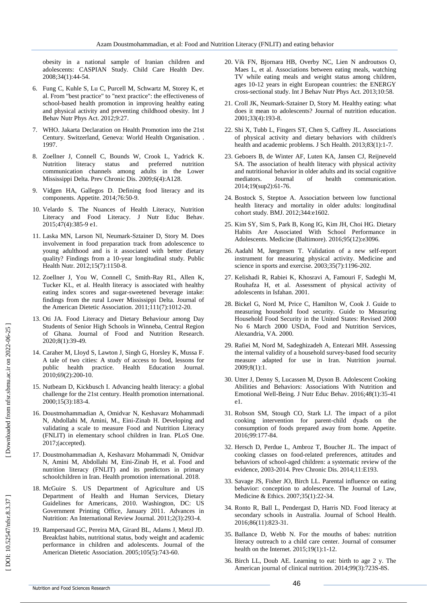obesity in a national sample of Iranian children and adolescents: CASPIAN Study. Child Care Health Dev. 2008;34(1):44 -54.

- 6. Fung C, Kuhle S, Lu C, Purcell M, Schwartz M, Storey K, et al. From "best practice" to "next practice": the effectiveness of school -based health promotion in improving healthy eating and physical activity and preventing childhood obesity. Int J Behav Nutr Phys Act. 2012;9:27.
- 7. WHO. Jakarta Declaration on Health Promotion into the 21st Century. Switzerland, Geneva: World Health Organisation. . 1997.
- 8. Zoellner J, Connell C, Bounds W, Crook L, Yadrick K. Nutrition literacy status and preferred nutrition communication channels among adults in the Lower Mississippi Delta. Prev Chronic Dis. 2009;6(4):A128.
- Vidgen HA, Gallegos D. Defining food literacy and its components. Appetite. 2014;76:50 -9.
- 10. Velardo S. The Nuances of Health Literacy, Nutrition Literacy and Food Literacy. J Nutr Educ Behav. 2015;47(4):385 -9 e1.
- 11. Laska MN, Larson NI, Neumark -Sztainer D, Story M. Does involvement in food preparation track from adolescence to young adulthood and is it associated with better dietary quality? Findings from a 10 -year longitudinal study. Public Health Nutr. 2012;15(7):1150 -8.
- 12. Zoellner J, You W, Connell C, Smith -Ray RL, Allen K, Tucker KL, et al. Health literacy is associated with healthy eating index scores and sugar -sweetened beverage intake: findings from the rural Lower Mississippi Delta. Journal of the American Dietetic Association. 2011;111(7):1012 -20.
- 13. Oti JA. Food Literacy and Dietary Behaviour among Day Students of Senior High Schools in Winneba, Central Region of Ghana. Journal of Food and Nutrition Research. 2020;8(1):39 -49.
- 14. Caraher M, Lloyd S, Lawton J, Singh G, Horsley K, Mussa F. A tale of two cities: A study of access to food, lessons for public health practice. Health Education Journal. 2010;69(2):200 -10.
- 15. Nutbeam D, Kickbusch I. Advancing health literacy: a global challenge for the 21st century. Health promotion international. 2000;15(3):183 -4.
- 16. Doustmohammadian A, Omidvar N, Keshavarz Mohammadi N, Abdollahi M, Amini, M., Eini -Zinab H. Developing and validating a scale to measure Food and Nutrition Literacy (FNLIT) in elementary school children in Iran. PLoS One. 2017;(accepted).
- 17. Doustmohammadian A, Keshavarz Mohammadi N, Omidvar N, Amini M, Abdollahi M, Eini -Zinab H, et al. Food and nutrition literacy (FNLIT) and its predictors in primary schoolchildren in Iran. Health promotion international. 2018.
- 18. McGuire S. US Department of Agriculture and US Department of Health and Human Services, Dietary Guidelines for Americans, 2010. Washington, DC: US Government Printing Office, January 2011. Advances in Nutrition: An International Review Journal. 2011;2(3):293 -4.
- 19. Rampersaud GC, Pereira MA, Girard BL, Adams J, Metzl JD. Breakfast habits, nutritional status, body weight and academic performance in children and adolescents. Journal of the American Dietetic Association. 2005;105(5):743 -60.
- 20. Vik FN, Bjornara HB, Overby NC, Lien N androutsos O, Maes L, et al. Associations between eating meals, watching TV while eating meals and weight status among children, ages 10 -12 years in eight European countries: the ENERGY cross -sectional study. Int J Behav Nutr Phys Act. 2013;10:58.
- 21. Croll JK, Neumark -Sztainer D, Story M. Healthy eating: what does it mean to adolescents? Journal of nutrition education. 2001;33(4):193 -8.
- 22. Shi X, Tubb L, Fingers ST, Chen S, Caffrey JL. Associations of physical activity and dietary behaviors with children's health and academic problems. J Sch Health. 2013;83(1):1 -7.
- 23. Geboers B, de Winter AF, Luten KA, Jansen CJ, Reijneveld SA. The association of health literacy with physical activity and nutritional behavior in older adults and its social cognitive<br>mediators. Journal of health communication. mediators. Journal of health communication. 2014;19(sup2):61 -76.
- 24. Bostock S, Steptoe A. Association between low functional health literacy and mortality in older adults: longitudinal cohort study. BMJ. 2012;344:e1602.
- 25. Kim SY, Sim S, Park B, Kong IG, Kim JH, Choi HG. Dietary Habits Are Associated With School Performance in Adolescents. Medicine (Baltimore). 2016;95(12):e3096.
- 26. Aadahl M, Jørgensen T. Validation of a new self -report instrument for measuring physical activity. Medicine and science in sports and exercise. 2003;35(7):1196 -202.
- 27. Kelishadi R, Rabiei K, Khosravi A, Famouri F, Sadeghi M, Rouhafza H, et al. Assessment of physical activity of adolescents in Isfahan. 2001.
- 28. Bickel G, Nord M, Price C, Hamilton W, Cook J. Guide to measuring household food security. Guide to Measuring Household Food Security in the United States: Revised 2000 No 6 March 2000 USDA, Food and Nutrition Services, Alexandria, VA. 2000.
- 29. Rafiei M, Nord M, Sadeghizadeh A, Entezari MH. Assessing the internal validity of a household survey -based food security measure adapted for use in Iran. Nutrition journal. 2009;8(1):1.
- 30. Utter J, Denny S, Lucassen M, Dyson B. Adolescent Cooking Abilities and Behaviors: Associations With Nutrition and Emotional Well -Being. J Nutr Educ Behav. 2016;48(1):35 -41 e1.
- 31. Robson SM, Stough CO, Stark LJ. The impact of a pilot cooking intervention for parent -child dyads on the consumption of foods prepared away from home. Appetite. 2016;99:177 -84.
- 32. Hersch D, Perdue L, Ambroz T, Boucher JL. The impact of cooking classes on food -related preferences, attitudes and behaviors of school -aged children: a systematic review of the evidence, 2003 -2014. Prev Chronic Dis. 2014;11:E193.
- 33. Savage JS, Fisher JO, Birch LL. Parental influence on eating behavior: conception to adolescence. The Journal of Law, Medicine & Ethics. 2007;35(1):22 -34.
- 34. Ronto R, Ball L, Pendergast D, Harris ND. Food literacy at secondary schools in Australia. Journal of School Health. 2016;86(11):823 -31.
- 35. Ballance D, Webb N. For the mouths of babes: nutrition literacy outreach to a child care center. Journal of consumer health on the Internet. 2015;19(1):1 -12.
- 36. Birch LL, Doub AE. Learning to eat: birth to age 2 y. The American journal of clinical nutrition. 2014;99(3):723S -8S.

DOI: 10.52547/nfsr.8.3.37